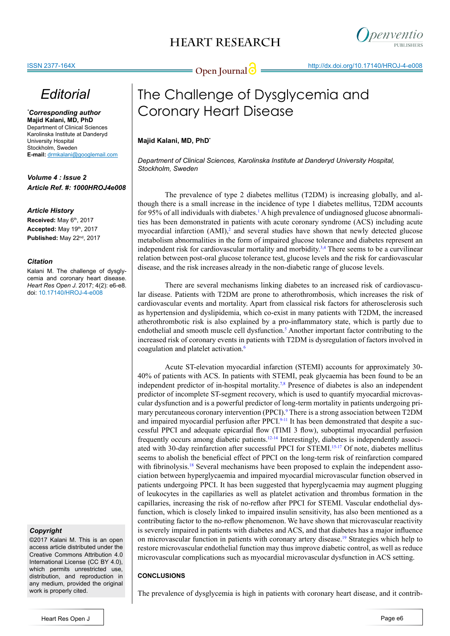# **HEART RESEARCH**



# *Editorial*

*\* Corresponding author* **Majid Kalani, MD, PhD** Department of Clinical Sciences Karolinska Institute at Danderyd University Hospital Stockholm, Sweden **E-mail:** drmkalani@googlemail.com

*Volume 4 : Issue 2 Article Ref. #: 1000HROJ4e008*

#### *Article History*

**Received:** May 6th, 2017 **Accepted:** May 19th, 2017 **Published:** May 22nd, 2017

#### *Citation*

Kalani M. The challenge of dysglycemia and coronary heart disease. *Heart Res Open J*. 2017; 4(2): e6-e8. doi: 10.17140/HROJ-4-e008

#### *Copyright*

©2017 Kalani M. This is an open access article distributed under the Creative Commons Attribution 4.0 International License (CC BY 4.0), which permits unrestricted use, distribution, and reproduction in any medium, provided the original work is properly cited.

# The Challenge of Dysglycemia and Coronary Heart Disease

### **Majid Kalani, MD, PhD\***

*Department of Clinical Sciences, Karolinska Institute at Danderyd University Hospital, Stockholm, Sweden*

The prevalence of type 2 diabetes mellitus (T2DM) is increasing globally, and although there is a small increase in the incidence of type 1 diabetes mellitus, T2DM accounts for 95% of all individuals with diabetes.<sup>[1](#page-1-0)</sup> A high prevalence of undiagnosed glucose abnormalities has been demonstrated in patients with acute coronary syndrome (ACS) including acute myocardial infarction  $(AMI)$ ,<sup>[2](#page-1-1)</sup> and several studies have shown that newly detected glucose metabolism abnormalities in the form of impaired glucose tolerance and diabetes represent an independent risk for cardiovascular mortality and morbidity. $3.4$  There seems to be a curvilinear relation between post-oral glucose tolerance test, glucose levels and the risk for cardiovascular disease, and the risk increases already in the non-diabetic range of glucose levels.

There are several mechanisms linking diabetes to an increased risk of cardiovascular disease. Patients with T2DM are prone to atherothrombosis, which increases the risk of cardiovascular events and mortality. Apart from classical risk factors for atherosclerosis such as hypertension and dyslipidemia, which co-exist in many patients with T2DM, the increased atherothrombotic risk is also explained by a pro-inflammatory state, which is partly due to endothelial and smooth muscle cell dysfunction.<sup>[5](#page-1-3)</sup> Another important factor contributing to the increased risk of coronary events in patients with T2DM is dysregulation of factors involved in coagulation and platelet activation.<sup>6</sup>

Acute ST-elevation myocardial infarction (STEMI) accounts for approximately 30- 40% of patients with ACS. In patients with STEMI, peak glycaemia has been found to be an independent predictor of in-hospital mortality.<sup>7,8</sup> Presence of diabetes is also an independent predictor of incomplete ST-segment recovery, which is used to quantify myocardial microvascular dysfunction and is a powerful predictor of long-term mortality in patients undergoing pri-mary percutaneous coronary intervention (PPCI).<sup>[9](#page-1-6)</sup> There is a strong association between T2DM and impaired myocardial perfusion after PPCI $.9-11$  It has been demonstrated that despite a successful PPCI and adequate epicardial flow (TIMI 3 flow), suboptimal myocardial perfusion frequently occurs among diabetic patients.<sup>12-14</sup> Interestingly, diabetes is independently associ-ated with 30-day reinfarction after successful PPCI for STEMI.<sup>[15-17](#page-2-0)</sup> Of note, diabetes mellitus seems to abolish the beneficial effect of PPCI on the long-term risk of reinfarction compared with fibrinolysis.<sup>[18](#page-2-1)</sup> Several mechanisms have been proposed to explain the independent association between hyperglycaemia and impaired myocardial microvascular function observed in patients undergoing PPCI. It has been suggested that hyperglycaemia may augment plugging of leukocytes in the capillaries as well as platelet activation and thrombus formation in the capillaries, increasing the risk of no-reflow after PPCI for STEMI. Vascular endothelial dysfunction, which is closely linked to impaired insulin sensitivity, has also been mentioned as a contributing factor to the no-reflow phenomenon. We have shown that microvascular reactivity is severely impaired in patients with diabetes and ACS, and that diabetes has a major influence on microvascular function in patients with coronary artery disease.[19](#page-2-2) Strategies which help to restore microvascular endothelial function may thus improve diabetic control, as well as reduce microvascular complications such as myocardial microvascular dysfunction in ACS setting.

### **CONCLUSIONS**

The prevalence of dysglycemia is high in patients with coronary heart disease, and it contrib-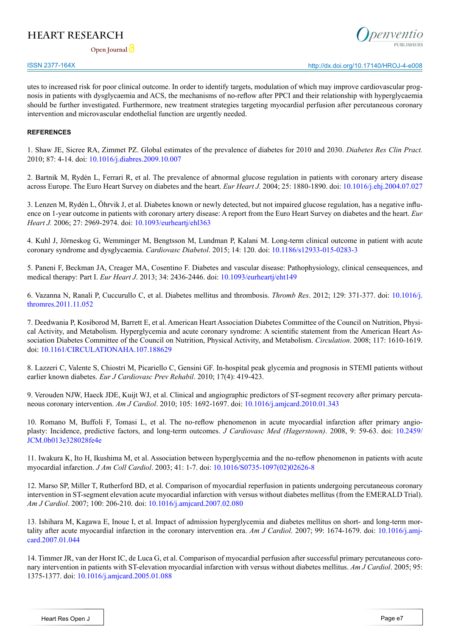## **HEART RESEARCH**

**Open Journal**



utes to increased risk for poor clinical outcome. In order to identify targets, modulation of which may improve cardiovascular prognosis in patients with dysglycaemia and ACS, the mechanisms of no-reflow after PPCI and their relationship with hyperglycaemia should be further investigated. Furthermore, new treatment strategies targeting myocardial perfusion after percutaneous coronary intervention and microvascular endothelial function are urgently needed.

#### **REFERENCES**

<span id="page-1-0"></span>1. Shaw JE, Sicree RA, Zimmet PZ. Global estimates of the prevalence of diabetes for 2010 and 2030. *Diabetes Res Clin Pract.*  2010; 87: 4-14. doi: [10.1016/j.diabres.2009.10.007](https://linkinghub.elsevier.com/retrieve/pii/S0168-8227%2809%2900432-X)

<span id="page-1-1"></span>2. Bartnik M, Rydén L, Ferrari R, et al. The prevalence of abnormal glucose regulation in patients with coronary artery disease across Europe. The Euro Heart Survey on diabetes and the heart. *Eur Heart J.* 2004; 25: 1880-1890. doi: [10.1016/j.ehj.2004.07.027](%20https://doi.org/10.1016/j.ehj.2004.07.027)

<span id="page-1-2"></span>3. Lenzen M, Rydén L, Öhrvik J, et al. Diabetes known or newly detected, but not impaired glucose regulation, has a negative influence on 1-year outcome in patients with coronary artery disease: A report from the Euro Heart Survey on diabetes and the heart. *Eur Heart J.* 2006; 27: 2969-2974. doi: [10.1093/eurheartj/ehl363](https://doi.org/10.1093/eurheartj/ehl363)

4. Kuhl J, Jörneskog G, Wemminger M, Bengtsson M, Lundman P, Kalani M. Long-term clinical outcome in patient with acute coronary syndrome and dysglycaemia. *Cardiovasc Diabetol*. 2015; 14: 120. doi: [10.1186/s12933-015-0283-3](https://cardiab.biomedcentral.com/articles/10.1186/s12933-015-0283-3)

<span id="page-1-3"></span>5. Paneni F, Beckman JA, Creager MA, Cosentino F. Diabetes and vascular disease: Pathophysiology, clinical censequences, and medical therapy: Part I. *Eur Heart J*. 2013; 34: 2436-2446. doi: [10.1093/eurheartj/eht149](https://doi.org/10.1093/eurheartj/eht149)

<span id="page-1-4"></span>6. Vazanna N, Ranali P, Cuccurullo C, et al. Diabetes mellitus and thrombosis. *Thromb Res*. 2012; 129: 371-377. doi: [10.1016/j.](http://dx.doi.org/10.1016/j.thromres.2011.11.052%0D) [thromres.2011.11.052](http://dx.doi.org/10.1016/j.thromres.2011.11.052%0D)

<span id="page-1-5"></span>7. Deedwania P, Kosiborod M, Barrett E, et al. American Heart Association Diabetes Committee of the Council on Nutrition, Physical Activity, and Metabolism. Hyperglycemia and acute coronary syndrome: A scientific statement from the American Heart Association Diabetes Committee of the Council on Nutrition, Physical Activity, and Metabolism. *Circulation*. 2008; 117: 1610-1619. doi: [10.1161/CIRCULATIONAHA.107.188629](https://doi.org/10.1161/CIRCULATIONAHA.107.188629)

8. Lazzeri C, Valente S, Chiostri M, Picariello C, Gensini GF. In-hospital peak glycemia and prognosis in STEMI patients without earlier known diabetes. *Eur J Cardiovasc Prev Rehabil*. 2010; 17(4): 419-423.

<span id="page-1-6"></span>9. Verouden NJW, Haeck JDE, Kuijt WJ, et al. Clinical and angiographic predictors of ST-segment recovery after primary percutaneous coronary intervention. *Am J Cardiol*. 2010; 105: 1692-1697. doi: [10.1016/j.amjcard.2010.01.343](https://linkinghub.elsevier.com/retrieve/pii/S0002-9149%2810%2900473-X)

10. Romano M, Buffoli F, Tomasi L, et al. The no-reflow phenomenon in acute myocardial infarction after primary angioplasty: Incidence, predictive factors, and long-term outcomes. *J Cardiovasc Med (Hagerstown)*. 2008, 9: 59-63. doi: [10.2459/](http://journals.lww.com/jcardiovascularmedicine/Abstract/2008/01000/The_no_reflow_phenomenon_in_acute_myocardial.11.aspx) [JCM.0b013e328028fe4e](http://journals.lww.com/jcardiovascularmedicine/Abstract/2008/01000/The_no_reflow_phenomenon_in_acute_myocardial.11.aspx)

11. Iwakura K, Ito H, Ikushima M, et al. Association between hyperglycemia and the no-reflow phenomenon in patients with acute myocardial infarction. *J Am Coll Cardiol*. 2003; 41: 1-7. doi: [10.1016/S0735-1097\(02\)02626-8](http://www.sciencedirect.com/science/article/pii/S0735109702026268)

<span id="page-1-7"></span>12. Marso SP, Miller T, Rutherford BD, et al. Comparison of myocardial reperfusion in patients undergoing percutaneous coronary intervention in ST-segment elevation acute myocardial infarction with versus without diabetes mellitus (from the EMERALD Trial). *Am J Cardiol*. 2007; 100: 206-210. doi: [10.1016/j.amjcard.2007.02.080](https://doi.org/10.1016/j.amjcard.2007.02.080)

13. Ishihara M, Kagawa E, Inoue I, et al. Impact of admission hyperglycemia and diabetes mellitus on short- and long-term mortality after acute myocardial infarction in the coronary intervention era. *Am J Cardiol*. 2007; 99: 1674-1679. doi: [10.1016/j.amj](https://doi.org/10.1016/j.amjcard.2007.01.044)[card.2007.01.044](https://doi.org/10.1016/j.amjcard.2007.01.044)

14. Timmer JR, van der Horst IC, de Luca G, et al. Comparison of myocardial perfusion after successful primary percutaneous coronary intervention in patients with ST-elevation myocardial infarction with versus without diabetes mellitus. *Am J Cardiol*. 2005; 95: 1375-1377. doi: [10.1016/j.amjcard.2005.01.088](https://doi.org/10.1016/j.amjcard.2005.01.088)